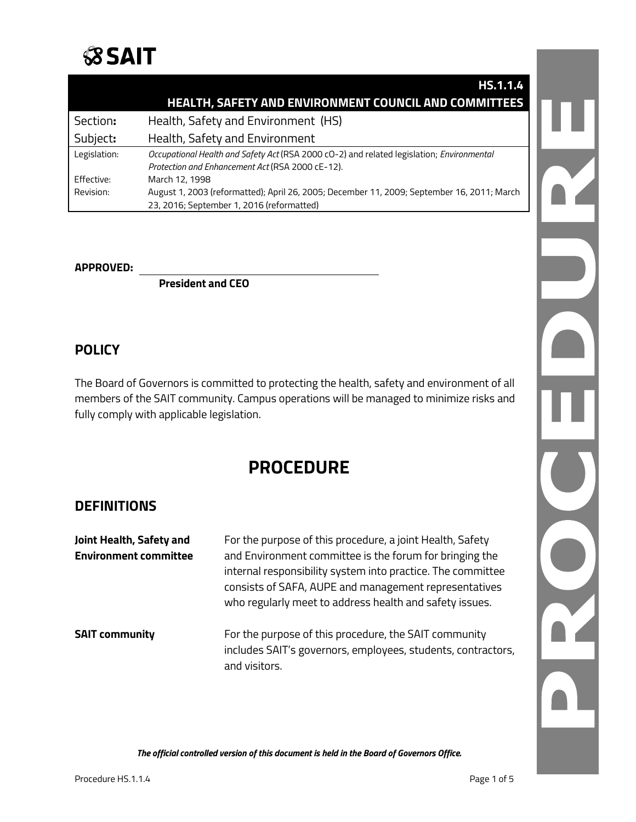

|              | <b>HS.1.1.4</b>                                                                            |  |
|--------------|--------------------------------------------------------------------------------------------|--|
|              | <b>HEALTH, SAFETY AND ENVIRONMENT COUNCIL AND COMMITTEES</b>                               |  |
| Section:     | Health, Safety and Environment (HS)                                                        |  |
| Subject:     | Health, Safety and Environment                                                             |  |
| Legislation: | Occupational Health and Safety Act (RSA 2000 cO-2) and related legislation; Environmental  |  |
|              | Protection and Enhancement Act (RSA 2000 cE-12).                                           |  |
| Effective:   | March 12, 1998                                                                             |  |
| Revision:    | August 1, 2003 (reformatted); April 26, 2005; December 11, 2009; September 16, 2011; March |  |
|              | 23, 2016; September 1, 2016 (reformatted)                                                  |  |

#### **APPROVED:**

**President and CEO**

### **POLICY**

The Board of Governors is committed to protecting the health, safety and environment of all members of the SAIT community. Campus operations will be managed to minimize risks and fully comply with applicable legislation.

# **PROCEDURE**

### **DEFINITIONS**

| Joint Health, Safety and<br><b>Environment committee</b> | For the purpose of this procedure, a joint Health, Safety<br>and Environment committee is the forum for bringing the<br>internal responsibility system into practice. The committee<br>consists of SAFA, AUPE and management representatives<br>who regularly meet to address health and safety issues. |
|----------------------------------------------------------|---------------------------------------------------------------------------------------------------------------------------------------------------------------------------------------------------------------------------------------------------------------------------------------------------------|
| <b>SAIT community</b>                                    | For the purpose of this procedure, the SAIT community<br>includes SAIT's governors, employees, students, contractors,<br>and visitors.                                                                                                                                                                  |

N L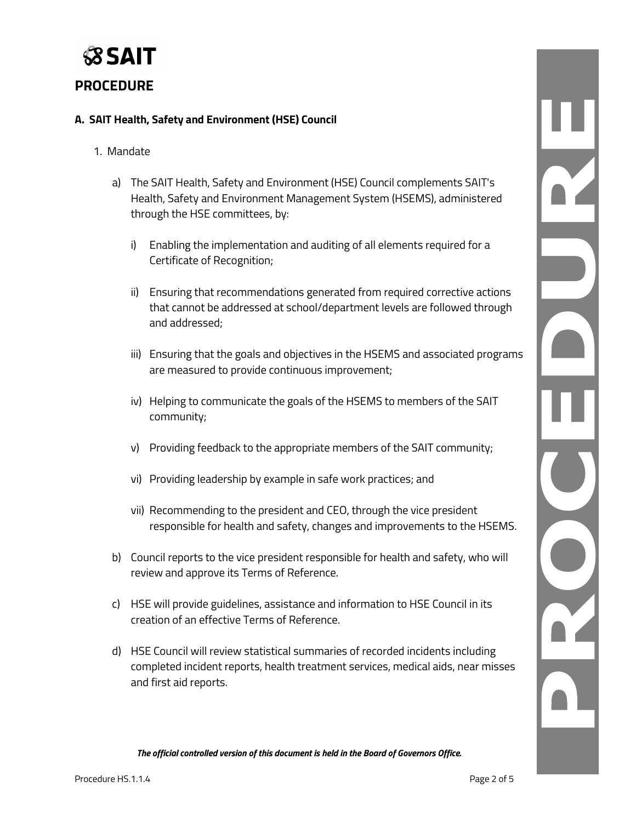

### **PROCEDURE**

#### **A. SAIT Health, Safety and Environment (HSE) Council**

#### 1. Mandate

- a) The SAIT Health, Safety and Environment (HSE) Council complements SAIT's Health, Safety and Environment Management System (HSEMS), administered through the HSE committees, by:
	- i) Enabling the implementation and auditing of all elements required for a Certificate of Recognition;
	- ii) Ensuring that recommendations generated from required corrective actions that cannot be addressed at school/department levels are followed through and addressed;
	- iii) Ensuring that the goals and objectives in the HSEMS and associated programs are measured to provide continuous improvement;
	- iv) Helping to communicate the goals of the HSEMS to members of the SAIT community;
	- v) Providing feedback to the appropriate members of the SAIT community;
	- vi) Providing leadership by example in safe work practices; and
	- vii) Recommending to the president and CEO, through the vice president responsible for health and safety, changes and improvements to the HSEMS.
- b) Council reports to the vice president responsible for health and safety, who will review and approve its Terms of Reference.
- c) HSE will provide guidelines, assistance and information to HSE Council in its creation of an effective Terms of Reference.
- d) HSE Council will review statistical summaries of recorded incidents including completed incident reports, health treatment services, medical aids, near misses and first aid reports.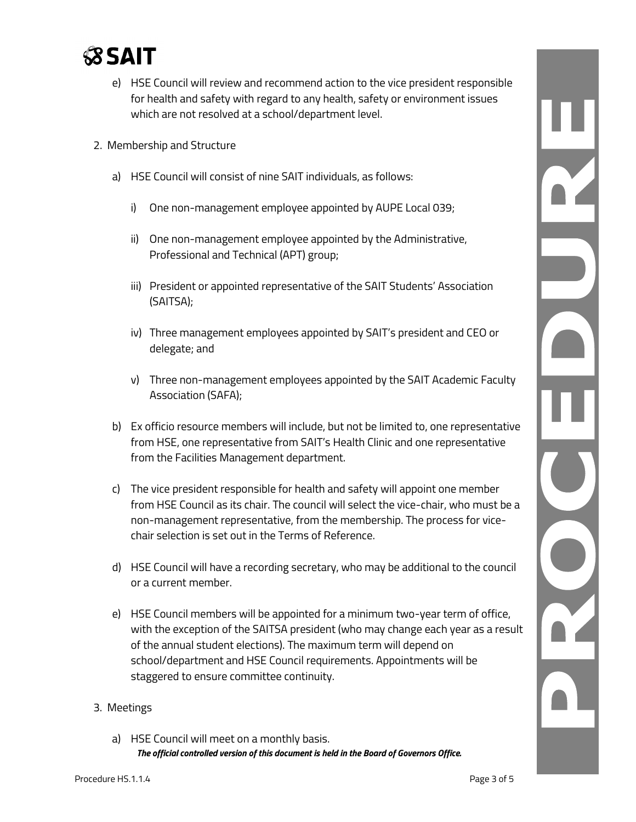

- e) HSE Council will review and recommend action to the vice president responsible for health and safety with regard to any health, safety or environment issues which are not resolved at a school/department level.
- 2. Membership and Structure
	- a) HSE Council will consist of nine SAIT individuals, as follows:
		- i) One non-management employee appointed by AUPE Local 039;
		- ii) One non-management employee appointed by the Administrative, Professional and Technical (APT) group;
		- iii) President or appointed representative of the SAIT Students' Association (SAITSA);
		- iv) Three management employees appointed by SAIT's president and CEO or delegate; and
		- v) Three non-management employees appointed by the SAIT Academic Faculty Association (SAFA);
	- b) Ex officio resource members will include, but not be limited to, one representative from HSE, one representative from SAIT's Health Clinic and one representative from the Facilities Management department.
	- c) The vice president responsible for health and safety will appoint one member from HSE Council as its chair. The council will select the vice-chair, who must be a non-management representative, from the membership. The process for vicechair selection is set out in the Terms of Reference.
	- d) HSE Council will have a recording secretary, who may be additional to the council or a current member.
	- e) HSE Council members will be appointed for a minimum two-year term of office, with the exception of the SAITSA president (who may change each year as a result of the annual student elections). The maximum term will depend on school/department and HSE Council requirements. Appointments will be staggered to ensure committee continuity.

#### 3. Meetings

*The official controlled version of this document is held in the Board of Governors Office.* a) HSE Council will meet on a monthly basis.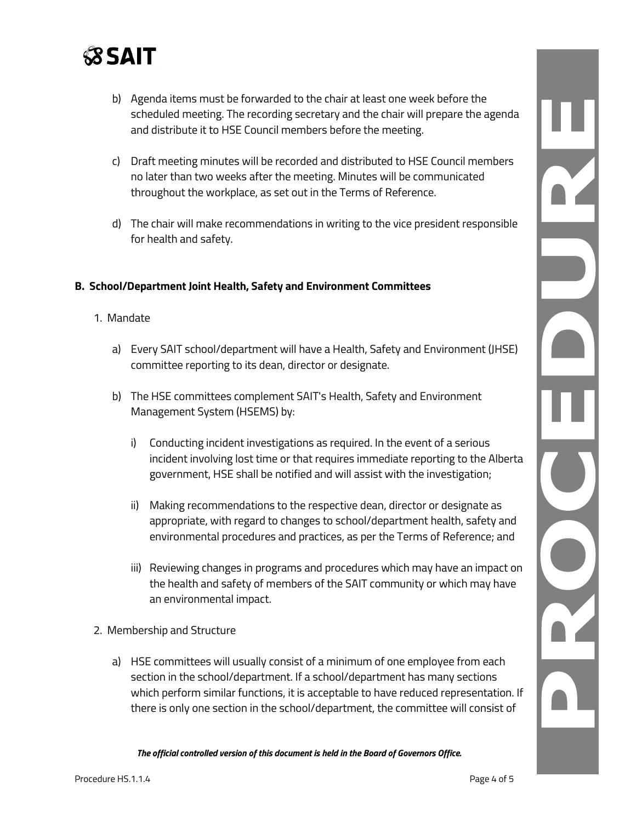

- b) Agenda items must be forwarded to the chair at least one week before the scheduled meeting. The recording secretary and the chair will prepare the agenda and distribute it to HSE Council members before the meeting.
- c) Draft meeting minutes will be recorded and distributed to HSE Council members no later than two weeks after the meeting. Minutes will be communicated throughout the workplace, as set out in the Terms of Reference.
- d) The chair will make recommendations in writing to the vice president responsible for health and safety.

#### **B. School/Department Joint Health, Safety and Environment Committees**

- 1. Mandate
	- a) Every SAIT school/department will have a Health, Safety and Environment (JHSE) committee reporting to its dean, director or designate.
	- b) The HSE committees complement SAIT's Health, Safety and Environment Management System (HSEMS) by:
		- i) Conducting incident investigations as required. In the event of a serious incident involving lost time or that requires immediate reporting to the Alberta government, HSE shall be notified and will assist with the investigation;
		- ii) Making recommendations to the respective dean, director or designate as appropriate, with regard to changes to school/department health, safety and environmental procedures and practices, as per the Terms of Reference; and
		- iii) Reviewing changes in programs and procedures which may have an impact on the health and safety of members of the SAIT community or which may have an environmental impact.
- 2. Membership and Structure
	- a) HSE committees will usually consist of a minimum of one employee from each section in the school/department. If a school/department has many sections which perform similar functions, it is acceptable to have reduced representation. If there is only one section in the school/department, the committee will consist of